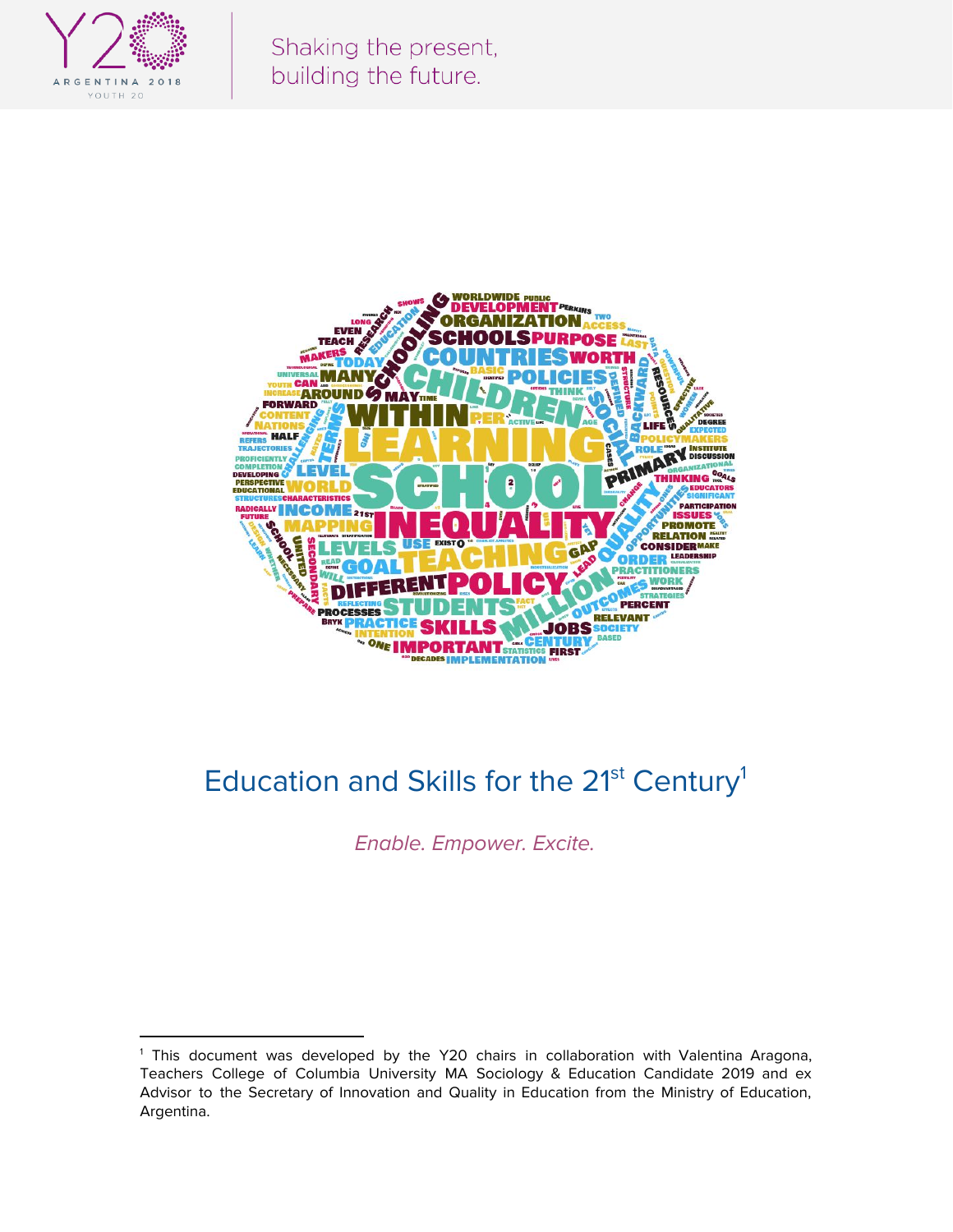

Shaking the present, building the future.



# Education and Skills for the 21<sup>st</sup> Century<sup>1</sup>

Enable. Empower. Excite.

<sup>&</sup>lt;sup>1</sup> This document was developed by the Y20 chairs in collaboration with Valentina Aragona, Teachers College of Columbia University MA Sociology & Education Candidate 2019 and ex Advisor to the Secretary of Innovation and Quality in Education from the Ministry of Education, Argentina.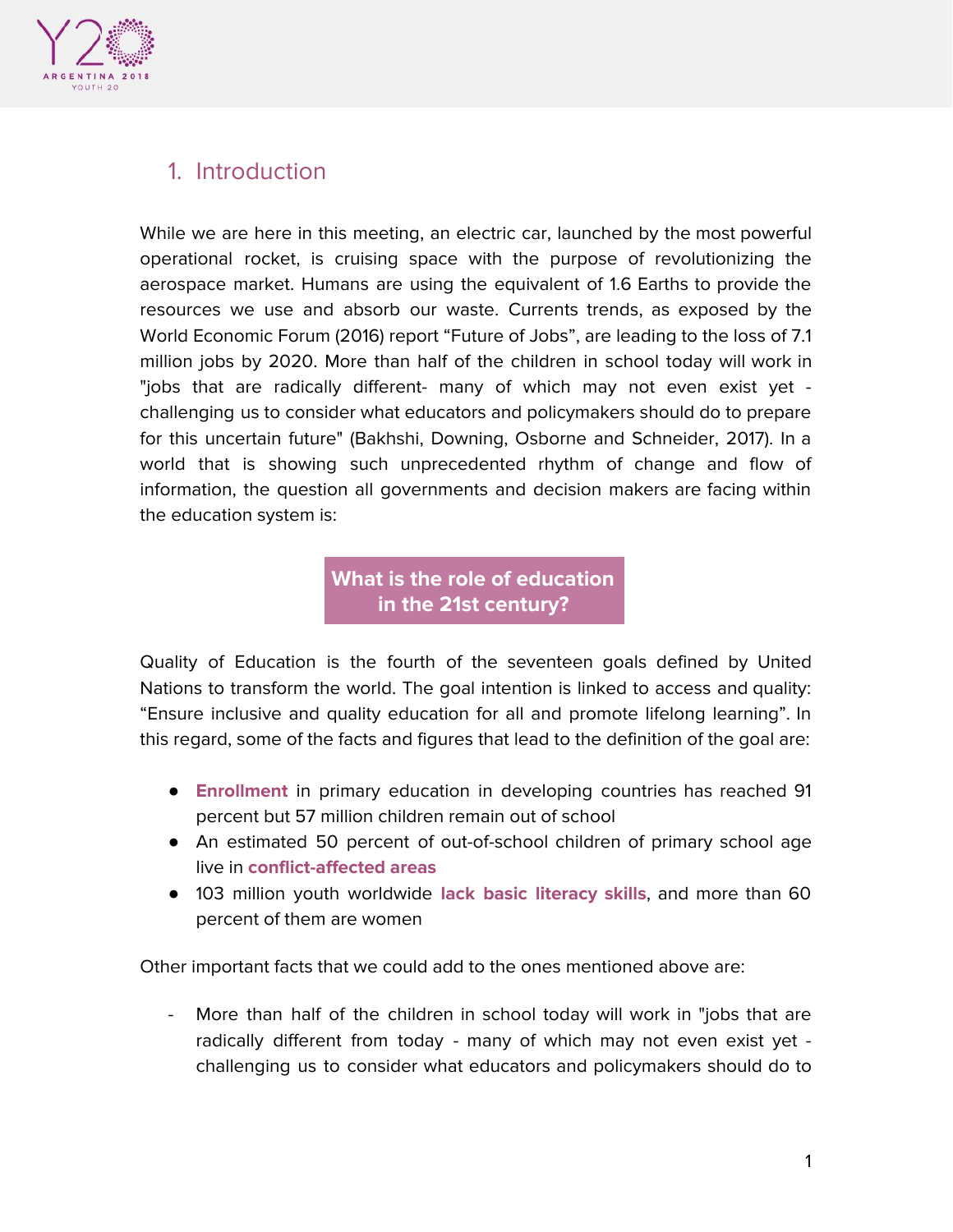

# 1. Introduction

While we are here in this meeting, an electric car, launched by the most powerful operational rocket, is cruising space with the purpose of revolutionizing the aerospace market. Humans are using the equivalent of 1.6 Earths to provide the resources we use and absorb our waste. Currents trends, as exposed by the World Economic Forum (2016) report "Future of Jobs", are leading to the loss of 7.1 million jobs by 2020. More than half of the children in school today will work in "jobs that are radically different- many of which may not even exist yet challenging us to consider what educators and policymakers should do to prepare for this uncertain future" (Bakhshi, Downing, Osborne and Schneider, 2017). In a world that is showing such unprecedented rhythm of change and flow of information, the question all governments and decision makers are facing within the education system is:

> **What is the role of education in the 21st century?**

Quality of Education is the fourth of the seventeen goals defined by United Nations to transform the world. The goal intention is linked to access and quality: "Ensure inclusive and quality education for all and promote lifelong learning". In this regard, some of the facts and figures that lead to the definition of the goal are:

- **Enrollment** in primary education in developing countries has reached 91 percent but 57 million children remain out of school
- An estimated 50 percent of out-of-school children of primary school age live in **conflict-affected areas**
- 103 million youth worldwide **lack basic literacy skills**, and more than 60 percent of them are women

Other important facts that we could add to the ones mentioned above are:

More than half of the children in school today will work in "jobs that are radically different from today - many of which may not even exist yet challenging us to consider what educators and policymakers should do to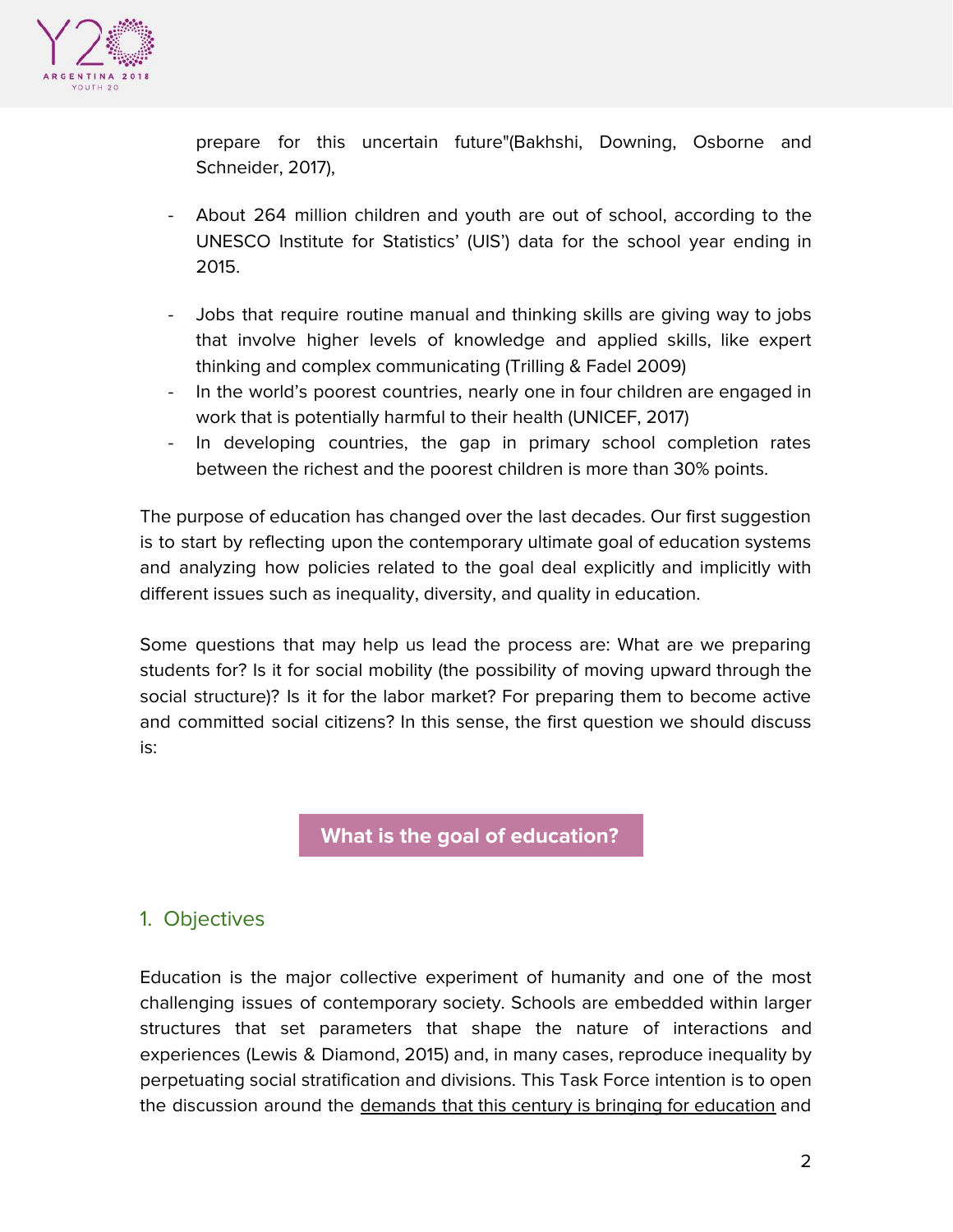

prepare for this uncertain future"(Bakhshi, Downing, Osborne and Schneider, 2017),

- About 264 million children and youth are out of school, according to the UNESCO Institute for Statistics' (UIS') data for the school year ending in 2015.
- Jobs that require routine manual and thinking skills are giving way to jobs that involve higher levels of knowledge and applied skills, like expert thinking and complex communicating (Trilling & Fadel 2009)
- In the world's poorest countries, nearly one in four children are engaged in work that is potentially harmful to their health (UNICEF, 2017)
- In developing countries, the gap in primary school completion rates between the richest and the poorest children is more than 30% points.

The purpose of education has changed over the last decades. Our first suggestion is to start by reflecting upon the contemporary ultimate goal of education systems and analyzing how policies related to the goal deal explicitly and implicitly with different issues such as inequality, diversity, and quality in education.

Some questions that may help us lead the process are: What are we preparing students for? Is it for social mobility (the possibility of moving upward through the social structure)? Is it for the labor market? For preparing them to become active and committed social citizens? In this sense, the first question we should discuss is:

**What is the goal of education?**

## 1. Objectives

Education is the major collective experiment of humanity and one of the most challenging issues of contemporary society. Schools are embedded within larger structures that set parameters that shape the nature of interactions and experiences (Lewis & Diamond, 2015) and, in many cases, reproduce inequality by perpetuating social stratification and divisions. This Task Force intention is to open the discussion around the demands that this century is bringing for education and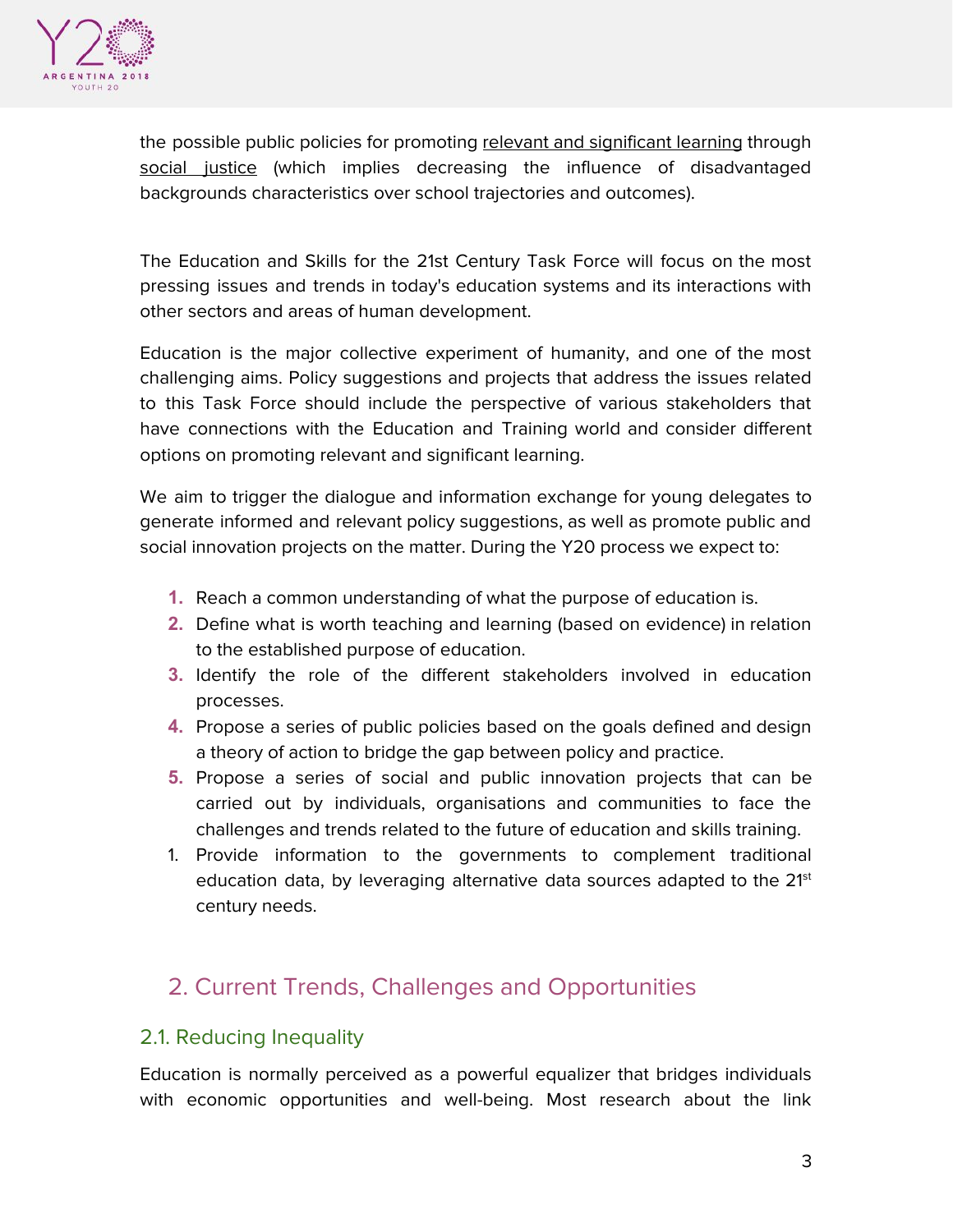

the possible public policies for promoting relevant and significant learning through social justice (which implies decreasing the influence of disadvantaged backgrounds characteristics over school trajectories and outcomes).

The Education and Skills for the 21st Century Task Force will focus on the most pressing issues and trends in today's education systems and its interactions with other sectors and areas of human development.

Education is the major collective experiment of humanity, and one of the most challenging aims. Policy suggestions and projects that address the issues related to this Task Force should include the perspective of various stakeholders that have connections with the Education and Training world and consider different options on promoting relevant and significant learning.

We aim to trigger the dialogue and information exchange for young delegates to generate informed and relevant policy suggestions, as well as promote public and social innovation projects on the matter. During the Y20 process we expect to:

- **1.** Reach a common understanding of what the purpose of education is.
- **2.** Define what is worth teaching and learning (based on evidence) in relation to the established purpose of education.
- **3.** Identify the role of the different stakeholders involved in education processes.
- **4.** Propose a series of public policies based on the goals defined and design a theory of action to bridge the gap between policy and practice.
- **5.** Propose a series of social and public innovation projects that can be carried out by individuals, organisations and communities to face the challenges and trends related to the future of education and skills training.
- 1. Provide information to the governments to complement traditional education data, by leveraging alternative data sources adapted to the 21st century needs.

# 2. Current Trends, Challenges and Opportunities

### 2.1. Reducing Inequality

Education is normally perceived as a powerful equalizer that bridges individuals with economic opportunities and well-being. Most research about the link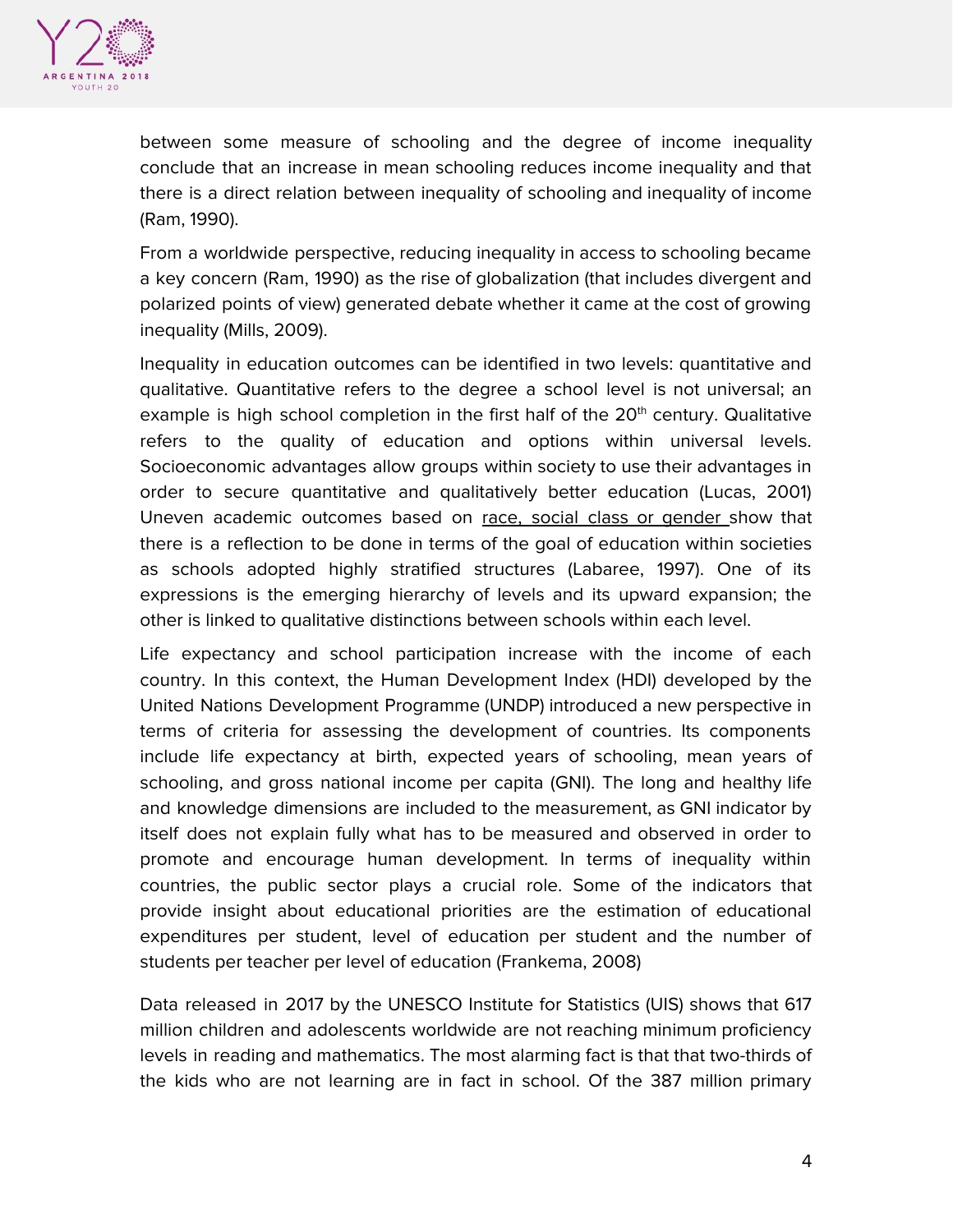

between some measure of schooling and the degree of income inequality conclude that an increase in mean schooling reduces income inequality and that there is a direct relation between inequality of schooling and inequality of income (Ram, 1990).

From a worldwide perspective, reducing inequality in access to schooling became a key concern (Ram, 1990) as the rise of globalization (that includes divergent and polarized points of view) generated debate whether it came at the cost of growing inequality (Mills, 2009).

Inequality in education outcomes can be identified in two levels: quantitative and qualitative. Quantitative refers to the degree a school level is not universal; an example is high school completion in the first half of the 20<sup>th</sup> century. Qualitative refers to the quality of education and options within universal levels. Socioeconomic advantages allow groups within society to use their advantages in order to secure quantitative and qualitatively better education (Lucas, 2001) Uneven academic outcomes based on race, social class or gender show that there is a reflection to be done in terms of the goal of education within societies as schools adopted highly stratified structures (Labaree, 1997). One of its expressions is the emerging hierarchy of levels and its upward expansion; the other is linked to qualitative distinctions between schools within each level.

Life expectancy and school participation increase with the income of each country. In this context, the Human Development Index (HDI) developed by the United Nations Development Programme (UNDP) introduced a new perspective in terms of criteria for assessing the development of countries. Its components include life expectancy at birth, expected years of schooling, mean years of schooling, and gross national income per capita (GNI). The long and healthy life and knowledge dimensions are included to the measurement, as GNI indicator by itself does not explain fully what has to be measured and observed in order to promote and encourage human development. In terms of inequality within countries, the public sector plays a crucial role. Some of the indicators that provide insight about educational priorities are the estimation of educational expenditures per student, level of education per student and the number of students per teacher per level of education (Frankema, 2008)

Data released in 2017 by the UNESCO Institute for Statistics (UIS) shows that 617 million children and adolescents worldwide are not reaching minimum proficiency levels in reading and mathematics. The most alarming fact is that that two-thirds of the kids who are not learning are in fact in school. Of the 387 million primary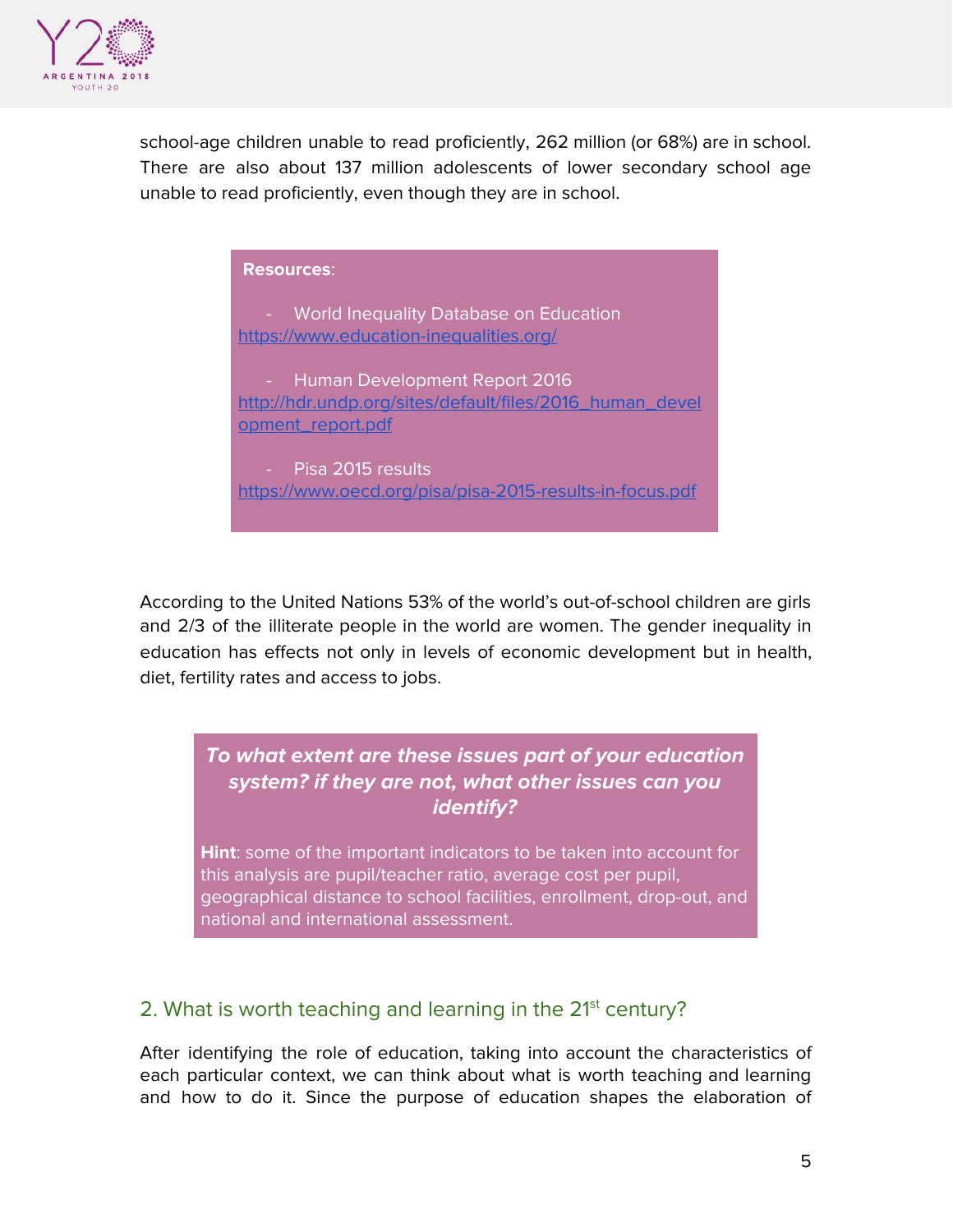

school-age children unable to read proficiently, 262 million (or 68%) are in school. There are also about 137 million adolescents of lower secondary school age unable to read proficiently, even though they are in school.

| <b>Resources:</b>                                                                                                |
|------------------------------------------------------------------------------------------------------------------|
| <b>World Inequality Database on Education</b><br>https://www.education-inequalities.org/                         |
| - Human Development Report 2016<br>http://hdr.undp.org/sites/default/files/2016_human_devel<br>opment_report.pdf |
| - Pisa 2015 results<br>https://www.oecd.org/pisa/pisa-2015-results-in-focus.pdf                                  |

According to the United Nations 53% of the world's out-of-school children are girls and 2/3 of the illiterate people in the world are women. The gender inequality in education has effects not only in levels of economic development but in health, diet, fertility rates and access to jobs.

**To what extent are these issues part of your education system? if they are not, what other issues can you identify?**

**Hint**: some of the important indicators to be taken into account for this analysis are pupil/teacher ratio, average cost per pupil, geographical distance to school facilities, enrollment, drop-out, and national and international assessment.

### 2. What is worth teaching and learning in the 21<sup>st</sup> century?

After identifying the role of education, taking into account the characteristics of each particular context, we can think about what is worth teaching and learning and how to do it. Since the purpose of education shapes the elaboration of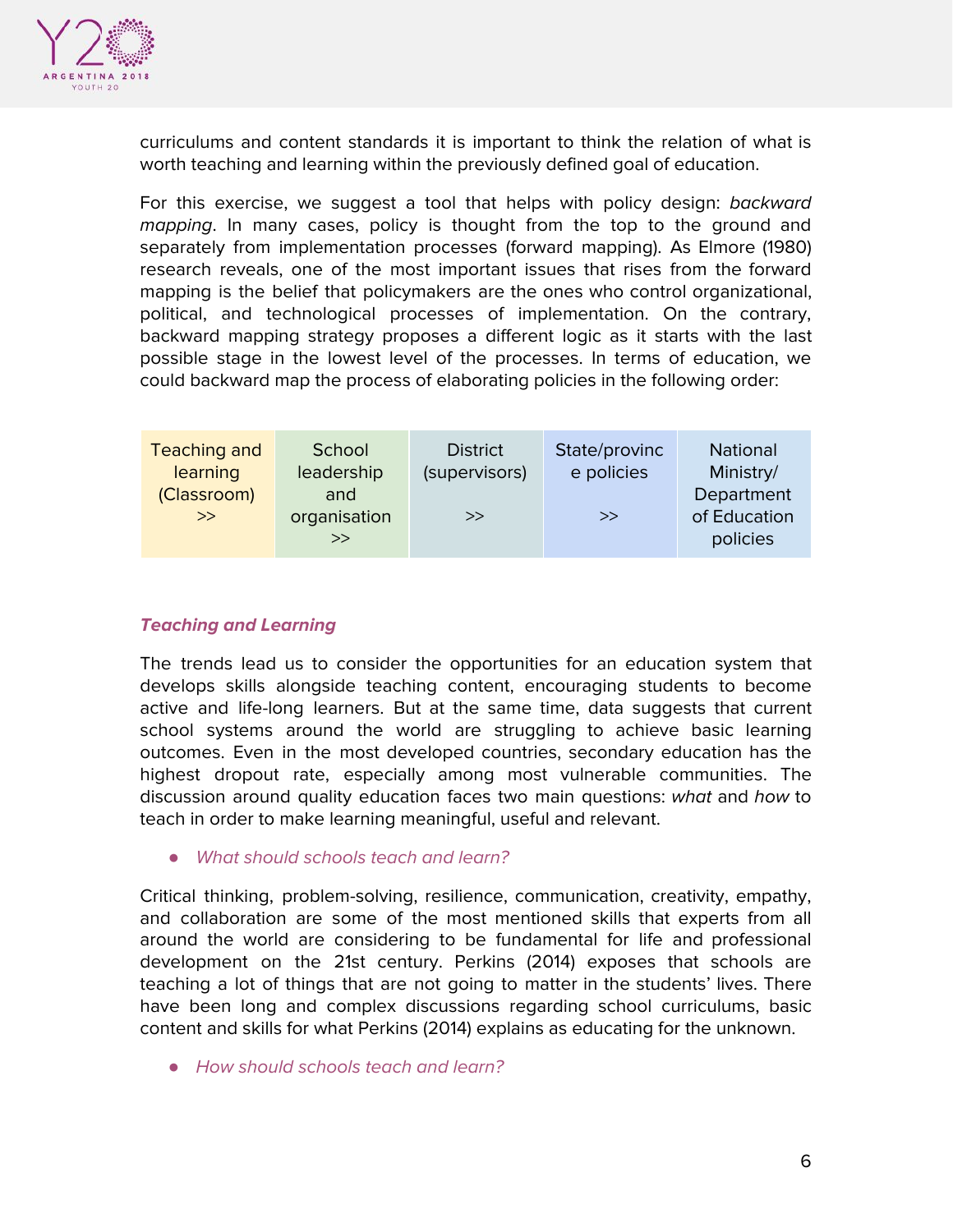

curriculums and content standards it is important to think the relation of what is worth teaching and learning within the previously defined goal of education.

For this exercise, we suggest a tool that helps with policy design: backward mapping. In many cases, policy is thought from the top to the ground and separately from implementation processes (forward mapping). As Elmore (1980) research reveals, one of the most important issues that rises from the forward mapping is the belief that policymakers are the ones who control organizational, political, and technological processes of implementation. On the contrary, backward mapping strategy proposes a different logic as it starts with the last possible stage in the lowest level of the processes. In terms of education, we could backward map the process of elaborating policies in the following order:

| Teaching and         | School                    | <b>District</b> | State/provinc | National                               |
|----------------------|---------------------------|-----------------|---------------|----------------------------------------|
| learning             | leadership                | (supervisors)   | e policies    | Ministry/                              |
| (Classroom)<br>$\gg$ | and<br>organisation<br>>> | $\gg$           | $\gg$         | Department<br>of Education<br>policies |

#### **Teaching and Learning**

The trends lead us to consider the opportunities for an education system that develops skills alongside teaching content, encouraging students to become active and life-long learners. But at the same time, data suggests that current school systems around the world are struggling to achieve basic learning outcomes. Even in the most developed countries, secondary education has the highest dropout rate, especially among most vulnerable communities. The discussion around quality education faces two main questions: what and how to teach in order to make learning meaningful, useful and relevant.

*●* What should schools teach and learn?

Critical thinking, problem-solving, resilience, communication, creativity, empathy, and collaboration are some of the most mentioned skills that experts from all around the world are considering to be fundamental for life and professional development on the 21st century. Perkins (2014) exposes that schools are teaching a lot of things that are not going to matter in the students' lives. There have been long and complex discussions regarding school curriculums, basic content and skills for what Perkins (2014) explains as educating for the unknown.

*●* How should schools teach and learn?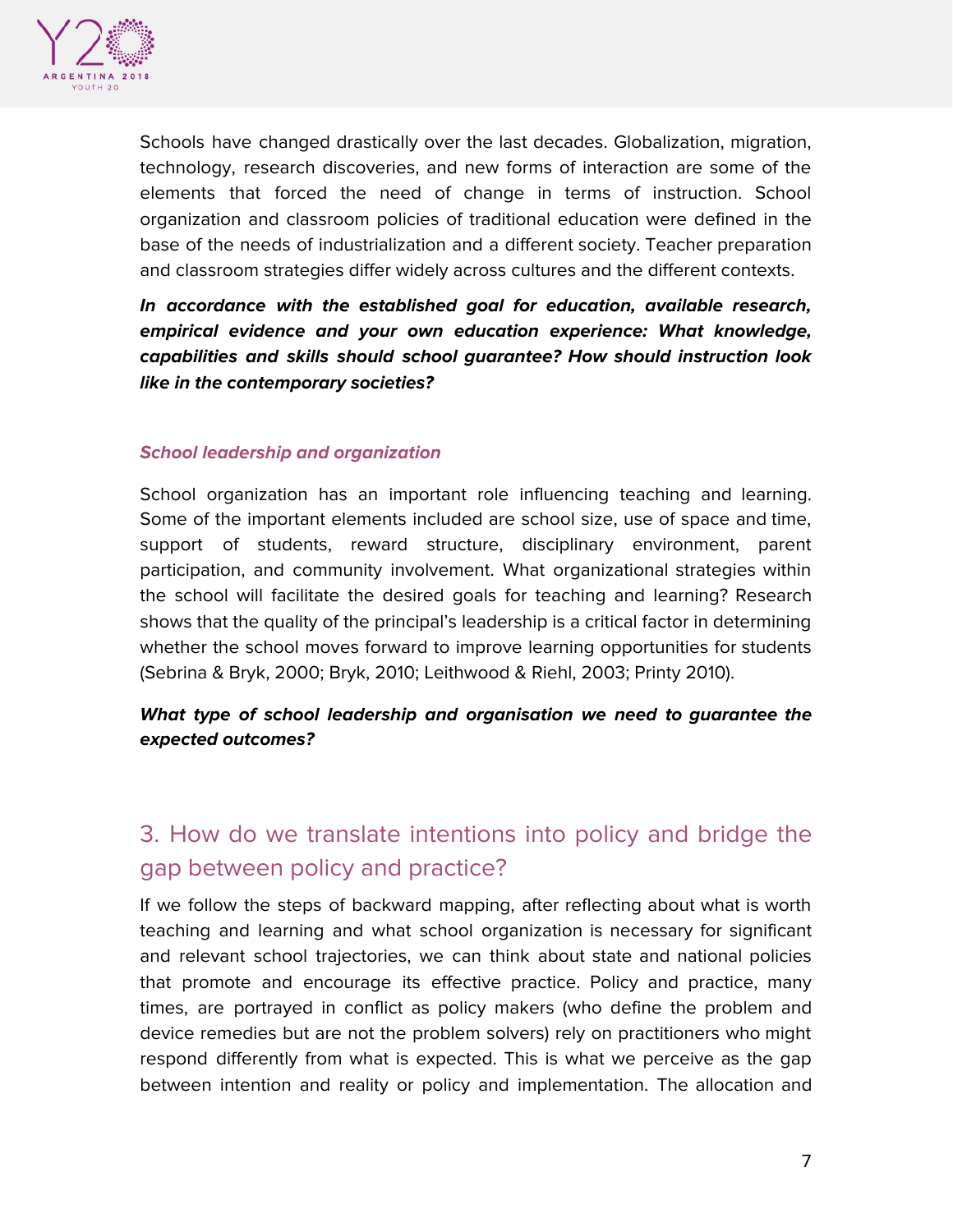

Schools have changed drastically over the last decades. Globalization, migration, technology, research discoveries, and new forms of interaction are some of the elements that forced the need of change in terms of instruction. School organization and classroom policies of traditional education were defined in the base of the needs of industrialization and a different society. Teacher preparation and classroom strategies differ widely across cultures and the different contexts.

**In accordance with the established goal for education, available research, empirical evidence and your own education experience: What knowledge, capabilities and skills should school guarantee? How should instruction look like in the contemporary societies?**

#### **School leadership and organization**

School organization has an important role influencing teaching and learning. Some of the important elements included are school size, use of space and time, support of students, reward structure, disciplinary environment, parent participation, and community involvement. What organizational strategies within the school will facilitate the desired goals for teaching and learning? Research shows that the quality of the principal's leadership is a critical factor in determining whether the school moves forward to improve learning opportunities for students (Sebrina & Bryk, 2000; Bryk, 2010; Leithwood & Riehl, 2003; Printy 2010).

#### **What type of school leadership and organisation we need to guarantee the expected outcomes?**

# 3. How do we translate intentions into policy and bridge the gap between policy and practice?

If we follow the steps of backward mapping, after reflecting about what is worth teaching and learning and what school organization is necessary for significant and relevant school trajectories, we can think about state and national policies that promote and encourage its effective practice. Policy and practice, many times, are portrayed in conflict as policy makers (who define the problem and device remedies but are not the problem solvers) rely on practitioners who might respond differently from what is expected. This is what we perceive as the gap between intention and reality or policy and implementation. The allocation and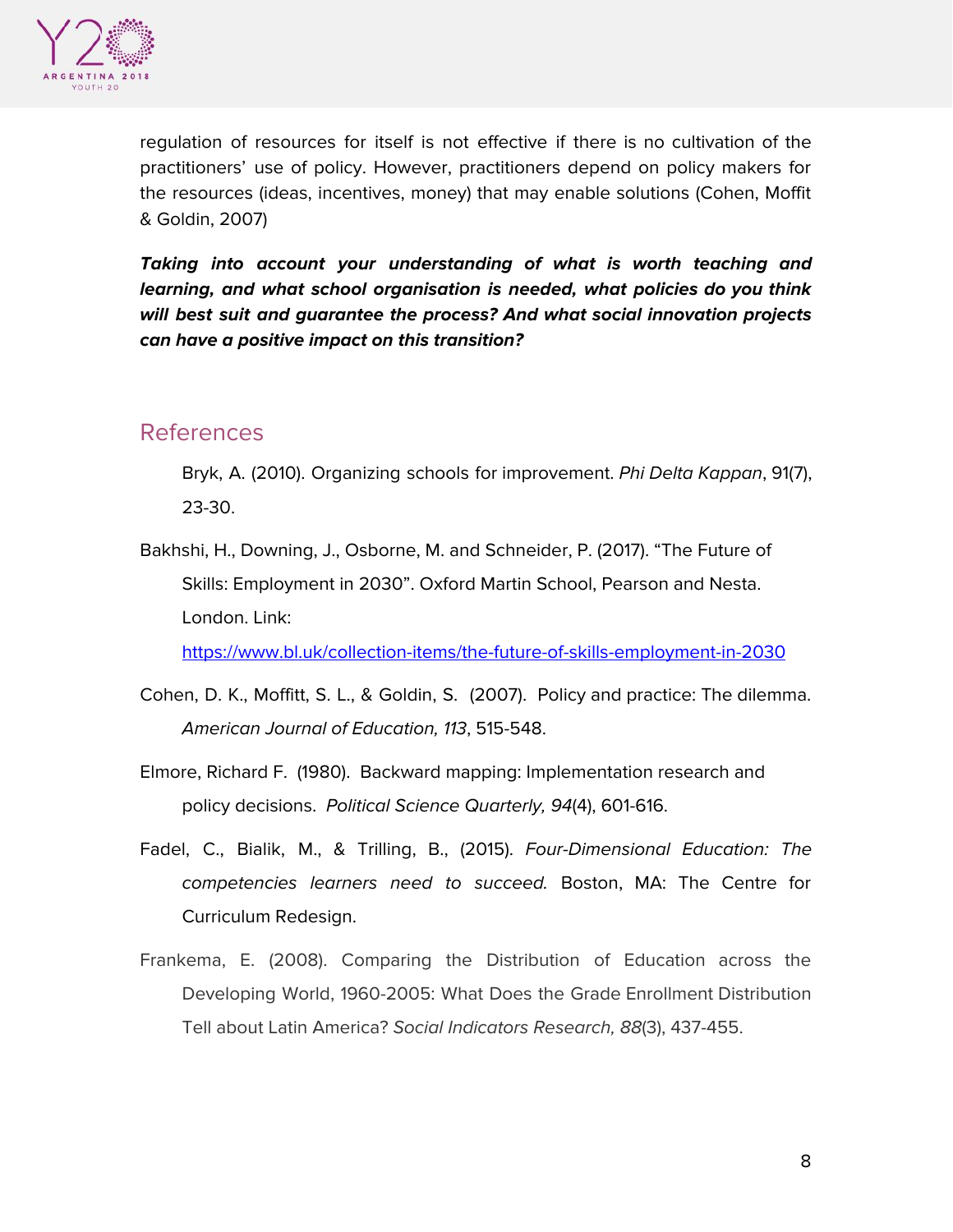

regulation of resources for itself is not effective if there is no cultivation of the practitioners' use of policy. However, practitioners depend on policy makers for the resources (ideas, incentives, money) that may enable solutions (Cohen, Moffit & Goldin, 2007)

**Taking into account your understanding of what is worth teaching and learning, and what school organisation is needed, what policies do you think will best suit and guarantee the process? And what social innovation projects can have a positive impact on this transition?**

### References

Bryk, A. (2010). Organizing schools for improvement. *Phi Delta Kappan*, 91(7), 23-30.

Bakhshi, H., Downing, J., Osborne, M. and Schneider, P. (2017). "The Future of Skills: Employment in 2030". Oxford Martin School, Pearson and Nesta. London. Link:

<https://www.bl.uk/collection-items/the-future-of-skills-employment-in-2030>

- Cohen, D. K., Moffitt, S. L., & Goldin, S. (2007). Policy and practice: The dilemma. American Journal of Education, 113, 515-548.
- Elmore, Richard F. (1980). Backward mapping: Implementation research and policy decisions. Political Science Quarterly, 94(4), 601-616.
- Fadel, C., Bialik, M., & Trilling, B., (2015). Four-Dimensional Education: The competencies learners need to succeed. Boston, MA: The Centre for Curriculum Redesign.
- Frankema, E. (2008). Comparing the Distribution of Education across the Developing World, 1960-2005: What Does the Grade Enrollment Distribution Tell about Latin America? Social Indicators Research, 88(3), 437-455.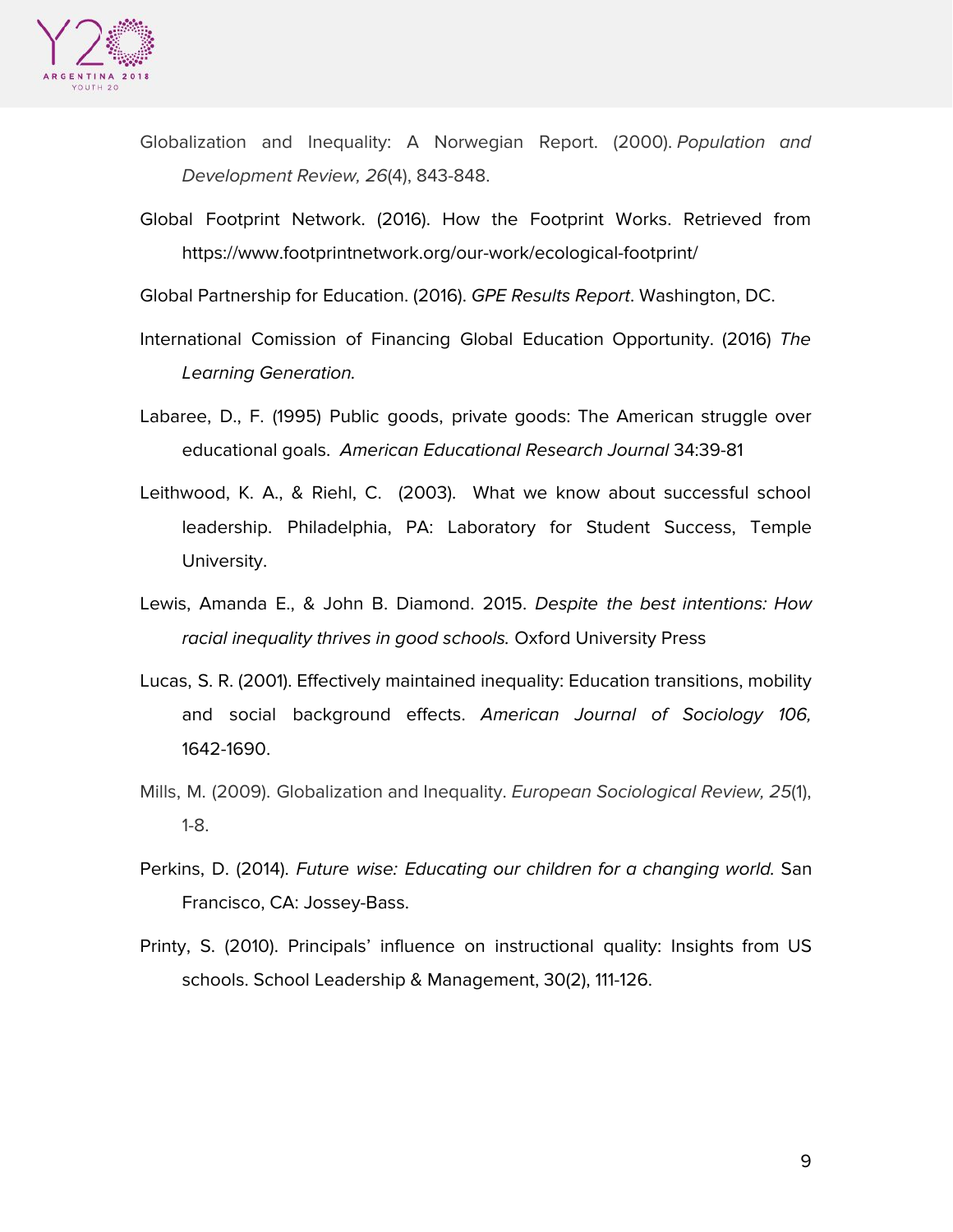

- Globalization and Inequality: A Norwegian Report. (2000). Population and Development Review, 26(4), 843-848.
- Global Footprint Network. (2016). How the Footprint Works. Retrieved from https://www.footprintnetwork.org/our-work/ecological-footprint/

Global Partnership for Education. (2016). GPE Results Report. Washington, DC.

- International Comission of Financing Global Education Opportunity. (2016) The Learning Generation.
- Labaree, D., F. (1995) Public goods, private goods: The American struggle over educational goals. American Educational Research Journal 34:39-81
- Leithwood, K. A., & Riehl, C. (2003). What we know about successful school leadership. Philadelphia, PA: Laboratory for Student Success, Temple University.
- Lewis, Amanda E., & John B. Diamond. 2015. Despite the best intentions: How racial inequality thrives in good schools. Oxford University Press
- Lucas, S. R. (2001). Effectively maintained inequality: Education transitions, mobility and social background effects. American Journal of Sociology 106, 1642-1690.
- Mills, M. (2009). Globalization and Inequality. *European Sociological Review, 25*(1), 1-8.
- Perkins, D. (2014). Future wise: Educating our children for a changing world. San Francisco, CA: Jossey-Bass.
- Printy, S. (2010). Principals' influence on instructional quality: Insights from US schools. School Leadership & Management, 30(2), 111-126.